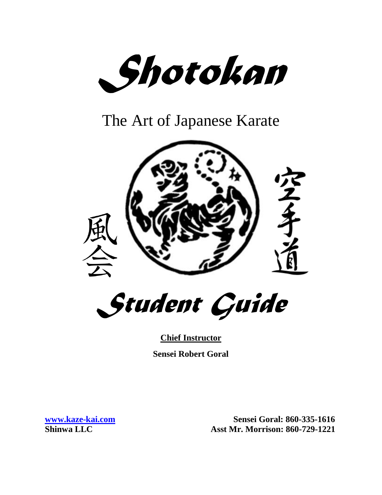*Shotokan*

The Art of Japanese Karate



*Student Guide*

**Chief Instructor Sensei Robert Goral**

**[www.kaze-kai.com](http://www.kaze-kai.com/) Sensei Goral: 860-335-1616 Shinwa LLC Asst Mr. Morrison: 860-729-1221**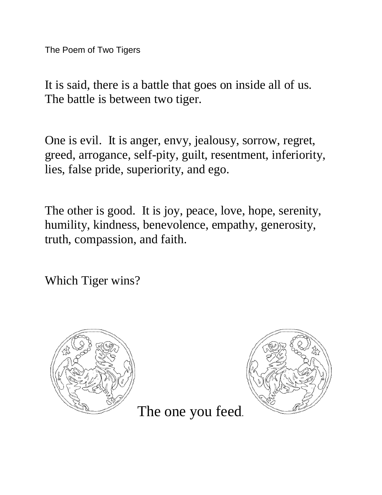The Poem of Two Tigers

It is said, there is a battle that goes on inside all of us. The battle is between two tiger.

One is evil. It is anger, envy, jealousy, sorrow, regret, greed, arrogance, self-pity, guilt, resentment, inferiority, lies, false pride, superiority, and ego.

The other is good. It is joy, peace, love, hope, serenity, humility, kindness, benevolence, empathy, generosity, truth, compassion, and faith.

Which Tiger wins?





The one you feed.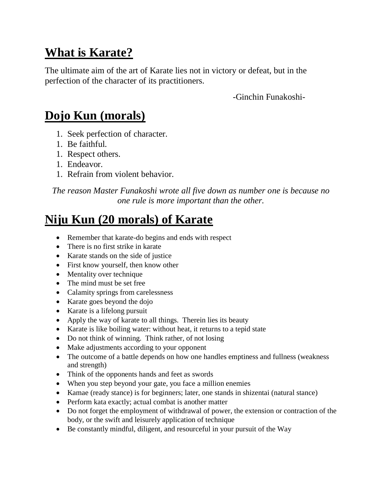## **What is Karate?**

The ultimate aim of the art of Karate lies not in victory or defeat, but in the perfection of the character of its practitioners.

-Ginchin Funakoshi-

# **Dojo Kun (morals)**

- 1. Seek perfection of character.
- 1. Be faithful.
- 1. Respect others.
- 1. Endeavor.
- 1. Refrain from violent behavior.

*The reason Master Funakoshi wrote all five down as number one is because no one rule is more important than the other.*

# **Niju Kun (20 morals) of Karate**

- Remember that karate-do begins and ends with respect
- There is no first strike in karate
- Karate stands on the side of justice
- First know yourself, then know other
- Mentality over technique
- The mind must be set free
- Calamity springs from carelessness
- Karate goes beyond the dojo
- Karate is a lifelong pursuit
- Apply the way of karate to all things. Therein lies its beauty
- Karate is like boiling water: without heat, it returns to a tepid state
- Do not think of winning. Think rather, of not losing
- Make adjustments according to your opponent
- The outcome of a battle depends on how one handles emptiness and fullness (weakness and strength)
- Think of the opponents hands and feet as swords
- When you step beyond your gate, you face a million enemies
- Kamae (ready stance) is for beginners; later, one stands in shizentai (natural stance)
- Perform kata exactly; actual combat is another matter
- Do not forget the employment of withdrawal of power, the extension or contraction of the body, or the swift and leisurely application of technique
- Be constantly mindful, diligent, and resourceful in your pursuit of the Way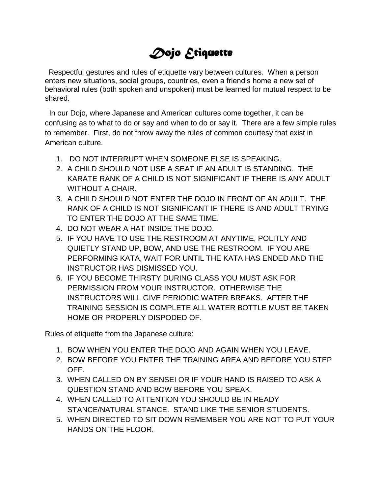# *Dojo Etiquette*

Respectful gestures and rules of etiquette vary between cultures. When a person enters new situations, social groups, countries, even a friend's home a new set of behavioral rules (both spoken and unspoken) must be learned for mutual respect to be shared.

 In our Dojo, where Japanese and American cultures come together, it can be confusing as to what to do or say and when to do or say it. There are a few simple rules to remember. First, do not throw away the rules of common courtesy that exist in American culture.

- 1. DO NOT INTERRUPT WHEN SOMEONE ELSE IS SPEAKING.
- 2. A CHILD SHOULD NOT USE A SEAT IF AN ADULT IS STANDING. THE KARATE RANK OF A CHILD IS NOT SIGNIFICANT IF THERE IS ANY ADULT WITHOUT A CHAIR.
- 3. A CHILD SHOULD NOT ENTER THE DOJO IN FRONT OF AN ADULT. THE RANK OF A CHILD IS NOT SIGNIFICANT IF THERE IS AND ADULT TRYING TO ENTER THE DOJO AT THE SAME TIME.
- 4. DO NOT WEAR A HAT INSIDE THE DOJO.
- 5. IF YOU HAVE TO USE THE RESTROOM AT ANYTIME, POLITLY AND QUIETLY STAND UP, BOW, AND USE THE RESTROOM. IF YOU ARE PERFORMING KATA, WAIT FOR UNTIL THE KATA HAS ENDED AND THE INSTRUCTOR HAS DISMISSED YOU.
- 6. IF YOU BECOME THIRSTY DURING CLASS YOU MUST ASK FOR PERMISSION FROM YOUR INSTRUCTOR. OTHERWISE THE INSTRUCTORS WILL GIVE PERIODIC WATER BREAKS. AFTER THE TRAINING SESSION IS COMPLETE ALL WATER BOTTLE MUST BE TAKEN HOME OR PROPERLY DISPODED OF.

Rules of etiquette from the Japanese culture:

- 1. BOW WHEN YOU ENTER THE DOJO AND AGAIN WHEN YOU LEAVE.
- 2. BOW BEFORE YOU ENTER THE TRAINING AREA AND BEFORE YOU STEP OFF.
- 3. WHEN CALLED ON BY SENSEI OR IF YOUR HAND IS RAISED TO ASK A QUESTION STAND AND BOW BEFORE YOU SPEAK.
- 4. WHEN CALLED TO ATTENTION YOU SHOULD BE IN READY STANCE/NATURAL STANCE. STAND LIKE THE SENIOR STUDENTS.
- 5. WHEN DIRECTED TO SIT DOWN REMEMBER YOU ARE NOT TO PUT YOUR HANDS ON THE FLOOR.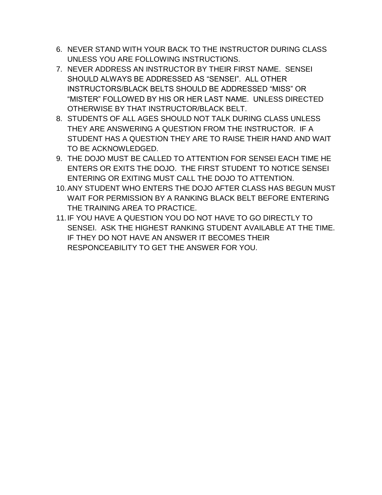- 6. NEVER STAND WITH YOUR BACK TO THE INSTRUCTOR DURING CLASS UNLESS YOU ARE FOLLOWING INSTRUCTIONS.
- 7. NEVER ADDRESS AN INSTRUCTOR BY THEIR FIRST NAME. SENSEI SHOULD ALWAYS BE ADDRESSED AS "SENSEI". ALL OTHER INSTRUCTORS/BLACK BELTS SHOULD BE ADDRESSED "MISS" OR "MISTER" FOLLOWED BY HIS OR HER LAST NAME. UNLESS DIRECTED OTHERWISE BY THAT INSTRUCTOR/BLACK BELT.
- 8. STUDENTS OF ALL AGES SHOULD NOT TALK DURING CLASS UNLESS THEY ARE ANSWERING A QUESTION FROM THE INSTRUCTOR. IF A STUDENT HAS A QUESTION THEY ARE TO RAISE THEIR HAND AND WAIT TO BE ACKNOWLEDGED.
- 9. THE DOJO MUST BE CALLED TO ATTENTION FOR SENSEI EACH TIME HE ENTERS OR EXITS THE DOJO. THE FIRST STUDENT TO NOTICE SENSEI ENTERING OR EXITING MUST CALL THE DOJO TO ATTENTION.
- 10.ANY STUDENT WHO ENTERS THE DOJO AFTER CLASS HAS BEGUN MUST WAIT FOR PERMISSION BY A RANKING BLACK BELT BEFORE ENTERING THE TRAINING AREA TO PRACTICE.
- 11.IF YOU HAVE A QUESTION YOU DO NOT HAVE TO GO DIRECTLY TO SENSEI. ASK THE HIGHEST RANKING STUDENT AVAILABLE AT THE TIME. IF THEY DO NOT HAVE AN ANSWER IT BECOMES THEIR RESPONCEABILITY TO GET THE ANSWER FOR YOU.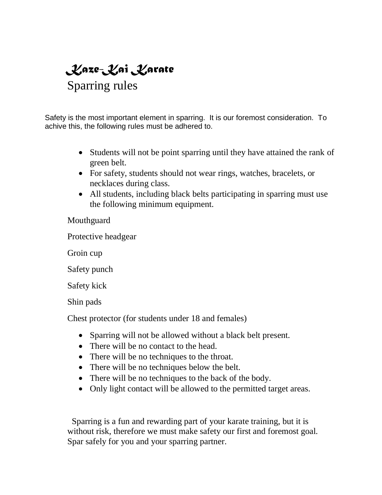*Kaze-Kai Karate* Sparring rules

Safety is the most important element in sparring. It is our foremost consideration. To achive this, the following rules must be adhered to.

- Students will not be point sparring until they have attained the rank of green belt.
- For safety, students should not wear rings, watches, bracelets, or necklaces during class.
- All students, including black belts participating in sparring must use the following minimum equipment.

**Mouthguard** 

Protective headgear

Groin cup

Safety punch

Safety kick

Shin pads

Chest protector (for students under 18 and females)

- Sparring will not be allowed without a black belt present.
- There will be no contact to the head.
- There will be no techniques to the throat.
- There will be no techniques below the belt.
- There will be no techniques to the back of the body.
- Only light contact will be allowed to the permitted target areas.

 Sparring is a fun and rewarding part of your karate training, but it is without risk, therefore we must make safety our first and foremost goal. Spar safely for you and your sparring partner.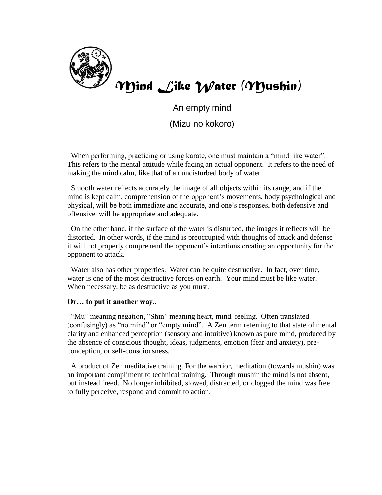

*Mind Like Water (Mushin)*

An empty mind

(Mizu no kokoro)

When performing, practicing or using karate, one must maintain a "mind like water". This refers to the mental attitude while facing an actual opponent. It refers to the need of making the mind calm, like that of an undisturbed body of water.

 Smooth water reflects accurately the image of all objects within its range, and if the mind is kept calm, comprehension of the opponent's movements, body psychological and physical, will be both immediate and accurate, and one's responses, both defensive and offensive, will be appropriate and adequate.

 On the other hand, if the surface of the water is disturbed, the images it reflects will be distorted. In other words, if the mind is preoccupied with thoughts of attack and defense it will not properly comprehend the opponent's intentions creating an opportunity for the opponent to attack.

 Water also has other properties. Water can be quite destructive. In fact, over time, water is one of the most destructive forces on earth. Your mind must be like water. When necessary, be as destructive as you must.

#### **Or… to put it another way..**

"Mu" meaning negation, "Shin" meaning heart, mind, feeling. Often translated (confusingly) as "no mind" or "empty mind". A Zen term referring to that state of mental clarity and enhanced perception (sensory and intuitive) known as pure mind, produced by the absence of conscious thought, ideas, judgments, emotion (fear and anxiety), preconception, or self-consciousness.

 A product of Zen meditative training. For the warrior, meditation (towards mushin) was an important compliment to technical training. Through mushin the mind is not absent, but instead freed. No longer inhibited, slowed, distracted, or clogged the mind was free to fully perceive, respond and commit to action.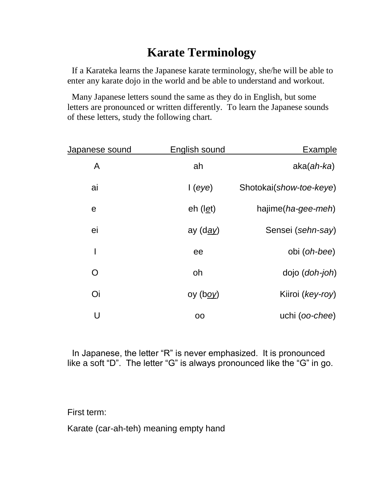## **Karate Terminology**

If a Karateka learns the Japanese karate terminology, she/he will be able to enter any karate dojo in the world and be able to understand and workout.

 Many Japanese letters sound the same as they do in English, but some letters are pronounced or written differently. To learn the Japanese sounds of these letters, study the following chart.

| <b>Example</b>          | <b>English sound</b> | <u>Japanese sound</u> |
|-------------------------|----------------------|-----------------------|
| $aka(ah-ka)$            | ah                   | A                     |
| Shotokai(show-toe-keye) | I(eye)               | ai                    |
| hajime(ha-gee-meh)      | $eh$ (l <i>et</i> )  | $\mathbf e$           |
| Sensei (sehn-say)       | ay (d <u>ay</u> )    | ei                    |
| obi (oh-bee)            | ee                   | I                     |
| dojo ( <i>doh-joh</i> ) | oh                   | O                     |
| Kiiroi (key-roy)        | oy (b <u>oy</u> )    | Oi                    |
| uchi (oo-chee)          | 00                   | U                     |

 In Japanese, the letter "R" is never emphasized. It is pronounced like a soft "D". The letter "G" is always pronounced like the "G" in go.

First term:

Karate (car-ah-teh) meaning empty hand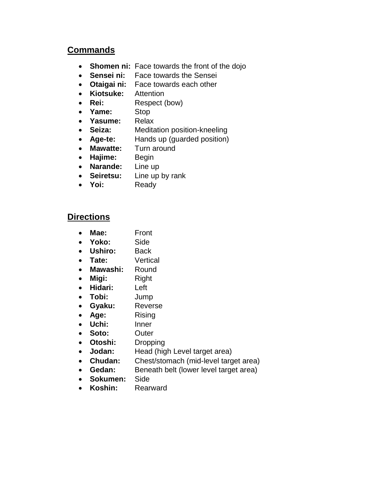#### **Commands**

- **Shomen ni:** Face towards the front of the dojo
- **Sensei ni:** Face towards the Sensei
- **Otaigai ni:** Face towards each other
- **Kiotsuke:** Attention
- **Rei:** Respect (bow)
- **Yame:** Stop
- **Yasume:** Relax
- **Seiza:** Meditation position-kneeling
- **Age-te:** Hands up (guarded position)
- **Mawatte:** Turn around
- **Hajime:** Begin
- **Narande:** Line up
- **Seiretsu:** Line up by rank
- **Yoi:** Ready

#### **Directions**

- **Mae:** Front
- **Yoko:** Side
- **Ushiro:** Back
- **Tate:** Vertical
- **Mawashi:** Round
- **Migi:** Right
- **Hidari:** Left
- **Tobi:** Jump
- **Gyaku:** Reverse
- **Age:** Rising
- **Uchi:** Inner
- **Soto:** Outer
- **Otoshi:** Dropping
- **Jodan:** Head (high Level target area)
- **Chudan:** Chest/stomach (mid-level target area)
- **Gedan:** Beneath belt (lower level target area)
- **Sokumen:** Side
- **Koshin:** Rearward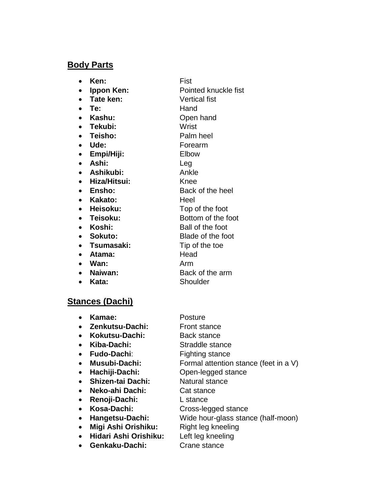#### **Body Parts**

**Ken:** Fist

- **Ippon Ken:** Pointed knuckle fist
- **Tate ken:** Vertical fist
- **Te:** Hand
- **Kashu:** Open hand
- **Tekubi:** Wrist
- **Teisho:** Palm heel
- **Ude:** Forearm
- **Empi/Hiji:** Elbow
- **Ashi:** Leg
- **Ashikubi:** Ankle
- **Hiza/Hitsui:** Knee
- **Ensho:** Back of the heel
- **Kakato:** Heel
- 
- 
- 
- 
- 
- **Atama:** Head
- **Wan:** Arm
- 
- **Kata:** Shoulder
- **Heisoku:** Top of the foot • Teisoku: Bottom of the foot **Koshi:** Ball of the foot **Sokuto:** Blade of the foot • Tsumasaki: Tip of the toe **Naiwan:** Back of the arm

### **Stances (Dachi)**

| Kamae:                                | Posture                               |
|---------------------------------------|---------------------------------------|
| Zenkutsu-Dachi:                       | <b>Front stance</b>                   |
| Kokutsu-Dachi:<br>$\bullet$           | <b>Back stance</b>                    |
| Kiba-Dachi:<br>$\bullet$              | Straddle stance                       |
| <b>Fudo-Dachi:</b><br>$\bullet$       | <b>Fighting stance</b>                |
| <b>Musubi-Dachi:</b><br>$\bullet$     | Formal attention stance (feet in a V) |
| Hachiji-Dachi:<br>$\bullet$           | Open-legged stance                    |
| <b>Shizen-tai Dachi:</b><br>$\bullet$ | Natural stance                        |
| Neko-ahi Dachi:<br>$\bullet$          | Cat stance                            |
| Renoji-Dachi:<br>$\bullet$            | L stance                              |
| Kosa-Dachi:                           | Cross-legged stance                   |
| Hangetsu-Dachi:<br>$\bullet$          | Wide hour-glass stance (half-moon)    |
| Migi Ashi Orishiku:                   | Right leg kneeling                    |
| Hidari Ashi Orishiku:<br>$\bullet$    | Left leg kneeling                     |
| Genkaku-Dachi:                        | Crane stance                          |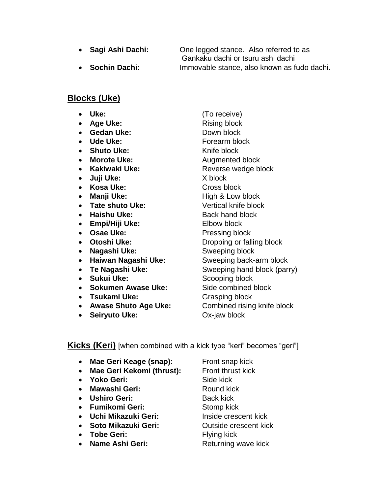**Sagi Ashi Dachi:** One legged stance. Also referred to as Gankaku dachi or tsuru ashi dachi **Sochin Dachi:** Immovable stance, also known as fudo dachi.

#### **Blocks (Uke)**

- 
- Age Uke: Rising block
- **Gedan Uke:** Down block
- Ude Uke: Forearm block
- Shuto Uke: Knife block
- 
- 
- **Juji Uke:** X block
- Kosa Uke: Cross block
- 
- Tate shuto Uke: Vertical knife block
- Haishu Uke: Back hand block
- **Empi/Hiji Uke:** Elbow block
- **Osae Uke:** Pressing block
- 
- **Nagashi Uke:** Sweeping block
- **Haiwan Nagashi Uke:** Sweeping back-arm block
- 
- Sukui Uke: Scooping block
- **Sokumen Awase Uke:** Side combined block
- **Tsukami Uke:** Grasping block
- Awase Shuto Age Uke: Combined rising knife block
- **Seiryuto Uke:** Ox-jaw block

 **Uke:** (To receive) • Morote Uke: Augmented block • Kakiwaki Uke: Reverse wedge block • Manji Uke: High & Low block **• Otoshi Uke:** Dropping or falling block • Te Nagashi Uke: Sweeping hand block (parry)

#### **Kicks (Keri)** [when combined with a kick type "keri" becomes "geri"]

- Mae Geri Keage (snap): Front snap kick
- Mae Geri Kekomi (thrust): Front thrust kick
- **Yoko Geri:** Side kick
- Mawashi Geri: Round kick
- **Ushiro Geri:** Back kick
- **Fumikomi Geri:** Stomp kick
- **Uchi Mikazuki Geri:** Inside crescent kick
- **Soto Mikazuki Geri:** Outside crescent kick
- Tobe Geri: Flying kick
- Name Ashi Geri: Returning wave kick
-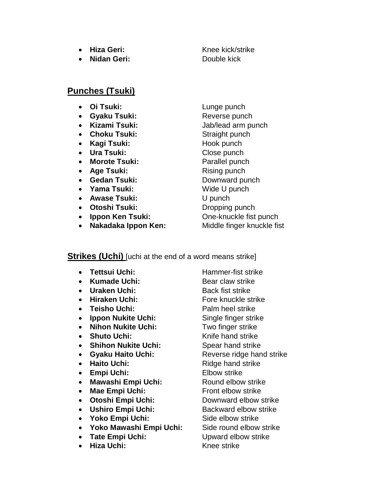- 
- **Nidan Geri:** Double kick

**• Hiza Geri:** Knee kick/strike

### **Punches (Tsuki)**

- 
- **Gyaku Tsuki:** Reverse punch
- 
- Choku Tsuki: Straight punch
- Kagi Tsuki: Hook punch
- Ura Tsuki: Close punch
- **Morote Tsuki:** Parallel punch
- Age Tsuki: Rising punch
- **Gedan Tsuki:** Downward punch
- Yama Tsuki: Wide U punch
- **Awase Tsuki:** U punch
- Otoshi Tsuki: Dropping punch
- 
- **Nakadaka Ippon Ken:** Middle finger knuckle fist

**•** Oi Tsuki: Lunge punch **Kizami Tsuki:** Jab/lead arm punch • **Ippon Ken Tsuki:** One-knuckle fist punch

#### **Strikes (Uchi)** [uchi at the end of a word means strike]

- Tettsui Uchi: Hammer-fist strike
- Kumade Uchi: Bear claw strike
- Uraken Uchi: Back fist strike
- 
- **Teisho Uchi:** Palm heel strike
- **Ippon Nukite Uchi:** Single finger strike
- Nihon Nukite Uchi: Two finger strike
- Shuto Uchi: Knife hand strike
- **Shihon Nukite Uchi:** Spear hand strike
- **Gyaku Haito Uchi:** Reverse ridge hand strike
- Haito Uchi: Ridge hand strike
- **Empi Uchi:** Elbow strike
- Mawashi Empi Uchi: Round elbow strike
- Mae Empi Uchi: Front elbow strike
- **Otoshi Empi Uchi:** Downward elbow strike
- **Ushiro Empi Uchi:** Backward elbow strike
- Yoko Empi Uchi: Side elbow strike
- **Yoko Mawashi Empi Uchi:** Side round elbow strike
- **Tate Empi Uchi:** Upward elbow strike
- Hiza Uchi: Knee strike

• Hiraken Uchi: Fore knuckle strike

- 
- 
- 
- 
- 
- 
- 
- 
- 
- 
- 
- 
- 
-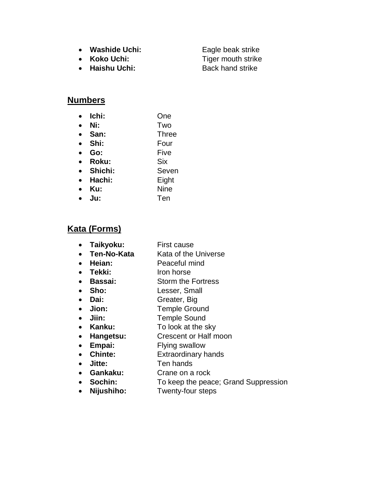- Washide Uchi: Eagle beak strike
- 
- Haishu Uchi: Back hand strike

• Koko Uchi: Tiger mouth strike

#### **Numbers**

- **Ichi:** One
- **Ni:** Two
- **San:** Three
- **Shi:** Four
- **Go:** Five
- **Roku:** Six
- **Shichi:** Seven
- **Hachi:** Eight
- **Ku:** Nine
- **Ju:** Ten

## **Kata (Forms)**

- **Taikyoku:** First cause
- **Ten-No-Kata** Kata of the Universe
- **Heian:** Peaceful mind
- Tekki: Iron horse
- **Bassai:** Storm the Fortress
- **Sho:** Lesser, Small
- **Dai:** Greater, Big
- **Jion:** Temple Ground
- **Jiin:** Temple Sound
- Kanku: To look at the sky
- **Hangetsu:** Crescent or Half moon
- **Empai:** Flying swallow
- **Chinte:** Extraordinary hands
- **Jitte:** Ten hands
- **Gankaku:** Crane on a rock
- **Sochin:** To keep the peace; Grand Suppression
- **Nijushiho:** Twenty-four steps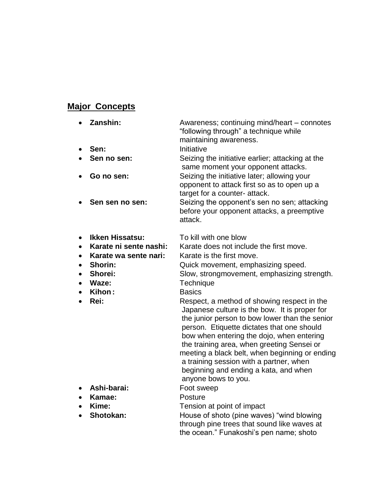## **Major Concepts**

| Zanshin:               | Awareness; continuing mind/heart – connotes<br>"following through" a technique while<br>maintaining awareness. |
|------------------------|----------------------------------------------------------------------------------------------------------------|
|                        | Initiative                                                                                                     |
| Sen no sen:            | Seizing the initiative earlier; attacking at the                                                               |
|                        | same moment your opponent attacks.                                                                             |
|                        | Seizing the initiative later; allowing your                                                                    |
|                        | opponent to attack first so as to open up a                                                                    |
|                        | target for a counter- attack.                                                                                  |
|                        | Seizing the opponent's sen no sen; attacking                                                                   |
|                        | before your opponent attacks, a preemptive<br>attack.                                                          |
|                        |                                                                                                                |
| <b>Ikken Hissatsu:</b> | To kill with one blow                                                                                          |
| Karate ni sente nashi: | Karate does not include the first move.                                                                        |
| Karate wa sente nari:  | Karate is the first move.                                                                                      |
| Shorin:                | Quick movement, emphasizing speed.                                                                             |
| Shorei:                | Slow, strongmovement, emphasizing strength.                                                                    |
| Waze:                  | Technique                                                                                                      |
| Kihon:                 | <b>Basics</b>                                                                                                  |
| Rei:                   | Respect, a method of showing respect in the<br>Japanese culture is the bow. It is proper for                   |
|                        | the junior person to bow lower than the senior                                                                 |
|                        | person. Etiquette dictates that one should                                                                     |
|                        | bow when entering the dojo, when entering                                                                      |
|                        | the training area, when greeting Sensei or                                                                     |
|                        | meeting a black belt, when beginning or ending                                                                 |
|                        | a training session with a partner, when                                                                        |
|                        | beginning and ending a kata, and when                                                                          |
|                        | anyone bows to you.                                                                                            |
|                        | Sen:<br>Go no sen:<br>Sen sen no sen:                                                                          |

- **Ashi-barai:** Foot sweep
- **Kamae:** Posture
- 

• Kime: Tension at point of impact • Shotokan: **House of shoto (pine waves)** "wind blowing through pine trees that sound like waves at the ocean." Funakoshi's pen name; shoto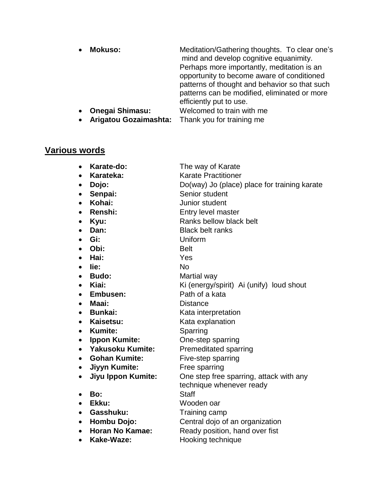| $\bullet$ | <b>Mokuso:</b>         | Meditation/Gathering thoughts. To clear one's<br>mind and develop cognitive equanimity.<br>Perhaps more importantly, meditation is an<br>opportunity to become aware of conditioned<br>patterns of thought and behavior so that such<br>patterns can be modified, eliminated or more<br>efficiently put to use. |
|-----------|------------------------|-----------------------------------------------------------------------------------------------------------------------------------------------------------------------------------------------------------------------------------------------------------------------------------------------------------------|
| $\bullet$ | <b>Onegai Shimasu:</b> | Welcomed to train with me                                                                                                                                                                                                                                                                                       |
|           |                        |                                                                                                                                                                                                                                                                                                                 |
| $\bullet$ | Arigatou Gozaimashta:  | Thank you for training me                                                                                                                                                                                                                                                                                       |

# **Various words**

| <b>is words</b>                        |                                              |
|----------------------------------------|----------------------------------------------|
| Karate-do:<br>$\bullet$                | The way of Karate                            |
| Karateka:                              | <b>Karate Practitioner</b>                   |
| Dojo:                                  | Do(way) Jo (place) place for training karate |
| Senpai:<br>$\bullet$                   | Senior student                               |
| Kohai:                                 | Junior student                               |
| Renshi:                                | Entry level master                           |
| Kyu:                                   | Ranks bellow black belt                      |
| Dan:                                   | <b>Black belt ranks</b>                      |
| Gi:                                    | Uniform                                      |
| Obi:                                   | <b>Belt</b>                                  |
| Hai:<br>$\bullet$                      | Yes                                          |
| lie:                                   | <b>No</b>                                    |
| <b>Budo:</b>                           | Martial way                                  |
| Kiai:<br>$\bullet$                     | Ki (energy/spirit) Ai (unify) loud shout     |
| Embusen:<br>$\bullet$                  | Path of a kata                               |
| Maai:                                  | <b>Distance</b>                              |
| <b>Bunkai:</b>                         | Kata interpretation                          |
| Kaisetsu:<br>$\bullet$                 | Kata explanation                             |
| <b>Kumite:</b><br>$\bullet$            | Sparring                                     |
| <b>Ippon Kumite:</b><br>$\bullet$      | One-step sparring                            |
| <b>Yakusoku Kumite:</b>                | <b>Premeditated sparring</b>                 |
| <b>Gohan Kumite:</b><br>$\bullet$      | Five-step sparring                           |
| <b>Jiyyn Kumite:</b><br>$\bullet$      | Free sparring                                |
| <b>Jiyu Ippon Kumite:</b><br>$\bullet$ | One step free sparring, attack with any      |
|                                        | technique whenever ready                     |
| Bo:<br>Ekku:                           | <b>Staff</b>                                 |
| $\bullet$<br>Gasshuku:                 | Wooden oar<br>Training camp                  |
| $\bullet$<br>Hombu Dojo:<br>$\bullet$  | Central dojo of an organization              |
| <b>Horan No Kamae:</b>                 | Ready position, hand over fist               |
| Kake-Waze:                             | Hooking technique                            |
|                                        |                                              |
|                                        |                                              |
|                                        |                                              |
|                                        |                                              |
|                                        |                                              |
|                                        |                                              |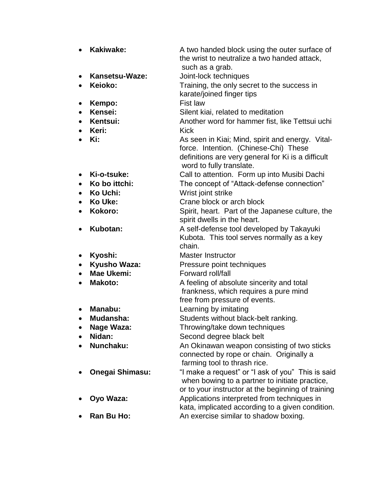| $\bullet$ | Kakiwake:              | A two handed block using the outer surface of<br>the wrist to neutralize a two handed attack,                                                                               |
|-----------|------------------------|-----------------------------------------------------------------------------------------------------------------------------------------------------------------------------|
|           |                        | such as a grab.                                                                                                                                                             |
| $\bullet$ | Kansetsu-Waze:         | Joint-lock techniques                                                                                                                                                       |
| $\bullet$ | Keioko:                | Training, the only secret to the success in<br>karate/joined finger tips                                                                                                    |
| $\bullet$ | Kempo:                 | Fist law                                                                                                                                                                    |
| $\bullet$ | Kensei:                | Silent kiai, related to meditation                                                                                                                                          |
| $\bullet$ | Kentsui:               | Another word for hammer fist, like Tettsui uchi                                                                                                                             |
| $\bullet$ | Keri:                  | <b>Kick</b>                                                                                                                                                                 |
| $\bullet$ | Ki:                    | As seen in Kiai; Mind, spirit and energy. Vital-<br>force. Intention. (Chinese-Chi) These<br>definitions are very general for Ki is a difficult<br>word to fully translate. |
| $\bullet$ | Ki-o-tsuke:            | Call to attention. Form up into Musibi Dachi                                                                                                                                |
| $\bullet$ | Ko bo ittchi:          | The concept of "Attack-defense connection"                                                                                                                                  |
| $\bullet$ | Ko Uchi:               | Wrist joint strike                                                                                                                                                          |
| $\bullet$ | Ko Uke:                | Crane block or arch block                                                                                                                                                   |
| $\bullet$ | Kokoro:                | Spirit, heart. Part of the Japanese culture, the<br>spirit dwells in the heart.                                                                                             |
| $\bullet$ | Kubotan:               | A self-defense tool developed by Takayuki<br>Kubota. This tool serves normally as a key<br>chain.                                                                           |
| $\bullet$ | Kyoshi:                | <b>Master Instructor</b>                                                                                                                                                    |
| $\bullet$ | Kyusho Waza:           | Pressure point techniques                                                                                                                                                   |
| $\bullet$ | <b>Mae Ukemi:</b>      | Forward roll/fall                                                                                                                                                           |
| $\bullet$ | <b>Makoto:</b>         | A feeling of absolute sincerity and total<br>frankness, which requires a pure mind<br>free from pressure of events.                                                         |
| $\bullet$ | Manabu:                | Learning by imitating                                                                                                                                                       |
| $\bullet$ | Mudansha:              | Students without black-belt ranking.                                                                                                                                        |
|           | Nage Waza:             | Throwing/take down techniques                                                                                                                                               |
| $\bullet$ | Nidan:                 | Second degree black belt                                                                                                                                                    |
| 0         | Nunchaku:              | An Okinawan weapon consisting of two sticks                                                                                                                                 |
|           |                        | connected by rope or chain. Originally a<br>farming tool to thrash rice.                                                                                                    |
|           | <b>Onegai Shimasu:</b> | "I make a request" or "I ask of you" This is said<br>when bowing to a partner to initiate practice,<br>or to your instructor at the beginning of training                   |
|           | Oyo Waza:              | Applications interpreted from techniques in<br>kata, implicated according to a given condition.                                                                             |

• Ran Bu Ho: An exercise similar to shadow boxing.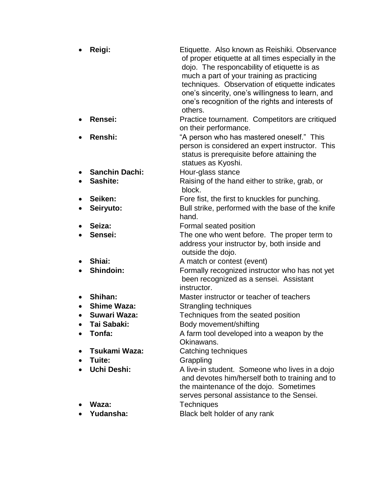| Reigi:                | Etiquette. Also known as Reishiki. Observance<br>of proper etiquette at all times especially in the<br>dojo. The responcability of etiquette is as<br>much a part of your training as practicing<br>techniques. Observation of etiquette indicates<br>one's sincerity, one's willingness to learn, and<br>one's recognition of the rights and interests of<br>others. |
|-----------------------|-----------------------------------------------------------------------------------------------------------------------------------------------------------------------------------------------------------------------------------------------------------------------------------------------------------------------------------------------------------------------|
| Rensei:               | Practice tournament. Competitors are critiqued<br>on their performance.                                                                                                                                                                                                                                                                                               |
| Renshi:               | "A person who has mastered oneself." This<br>person is considered an expert instructor. This<br>status is prerequisite before attaining the<br>statues as Kyoshi.                                                                                                                                                                                                     |
| <b>Sanchin Dachi:</b> | Hour-glass stance                                                                                                                                                                                                                                                                                                                                                     |
| Sashite:              | Raising of the hand either to strike, grab, or<br>block.                                                                                                                                                                                                                                                                                                              |
| Seiken:               | Fore fist, the first to knuckles for punching.                                                                                                                                                                                                                                                                                                                        |
| Seiryuto:             | Bull strike, performed with the base of the knife<br>hand.                                                                                                                                                                                                                                                                                                            |
| Seiza:                | Formal seated position                                                                                                                                                                                                                                                                                                                                                |
| Sensei:               | The one who went before. The proper term to<br>address your instructor by, both inside and<br>outside the dojo.                                                                                                                                                                                                                                                       |
| Shiai:                | A match or contest (event)                                                                                                                                                                                                                                                                                                                                            |
| Shindoin:             | Formally recognized instructor who has not yet<br>been recognized as a sensei. Assistant<br>instructor.                                                                                                                                                                                                                                                               |
| Shihan:               | Master instructor or teacher of teachers                                                                                                                                                                                                                                                                                                                              |
| <b>Shime Waza:</b>    | Strangling techniques                                                                                                                                                                                                                                                                                                                                                 |
| <b>Suwari Waza:</b>   | Techniques from the seated position                                                                                                                                                                                                                                                                                                                                   |
| Tai Sabaki:           | Body movement/shifting                                                                                                                                                                                                                                                                                                                                                |
| Tonfa:                | A farm tool developed into a weapon by the<br>Okinawans.                                                                                                                                                                                                                                                                                                              |
| Tsukami Waza:         | Catching techniques                                                                                                                                                                                                                                                                                                                                                   |
| Tuite:                | Grappling                                                                                                                                                                                                                                                                                                                                                             |
| <b>Uchi Deshi:</b>    | A live-in student. Someone who lives in a dojo<br>and devotes him/herself both to training and to<br>the maintenance of the dojo. Sometimes<br>serves personal assistance to the Sensei.                                                                                                                                                                              |
| Waza:                 | <b>Techniques</b>                                                                                                                                                                                                                                                                                                                                                     |
| Yudansha:             | Black belt holder of any rank                                                                                                                                                                                                                                                                                                                                         |